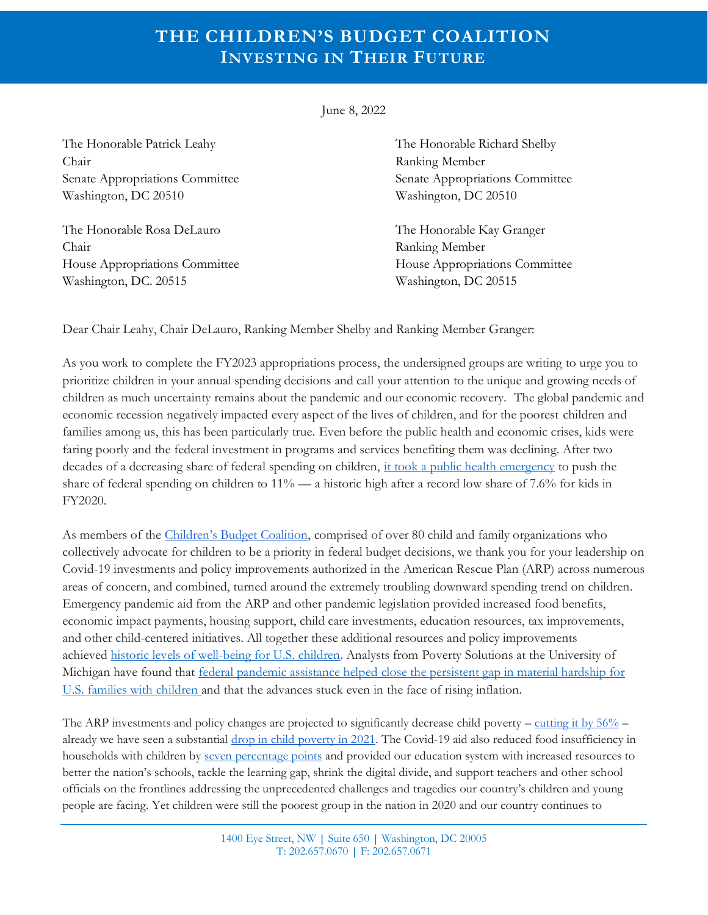## **THE CHILDREN'S BUDGET COALITION INVESTING IN THEIR FUTURE**

June 8, 2022

The Honorable Patrick Leahy The Honorable Richard Shelby Chair Ranking Member Senate Appropriations Committee Senate Appropriations Committee Washington, DC 20510 Washington, DC 20510

The Honorable Rosa DeLauro The Honorable Kay Granger Chair Ranking Member Washington, DC. 20515 Washington, DC 20515

House Appropriations Committee House Appropriations Committee

Dear Chair Leahy, Chair DeLauro, Ranking Member Shelby and Ranking Member Granger:

As you work to complete the FY2023 appropriations process, the undersigned groups are writing to urge you to prioritize children in your annual spending decisions and call your attention to the unique and growing needs of children as much uncertainty remains about the pandemic and our economic recovery. The global pandemic and economic recession negatively impacted every aspect of the lives of children, and for the poorest children and families among us, this has been particularly true. Even before the public health and economic crises, kids were faring poorly and the federal investment in programs and services benefiting them was declining. After two decades of a decreasing share of federal spending on children, [it took a public health emergency](https://firstfocus.org/blog/childrensbudget2021) to push the share of federal spending on children to  $11\%$  — a historic high after a record low share of 7.6% for kids in FY2020.

As members of the [Children's Budget Coalition](https://www.childrensbudget.org/partners), comprised of over 80 child and family organizations who collectively advocate for children to be a priority in federal budget decisions, we thank you for your leadership on Covid-19 investments and policy improvements authorized in the American Rescue Plan (ARP) across numerous areas of concern, and combined, turned around the extremely troubling downward spending trend on children. Emergency pandemic aid from the ARP and other pandemic legislation provided increased food benefits, economic impact payments, housing support, child care investments, education resources, tax improvements, and other child-centered initiatives. All together these additional resources and policy improvements achieved [historic levels of well-being for U.S. children.](https://campaignforchildren.org/resources/fact-sheet/fact-sheet-child-poverty-in-the-wake-of-covid-19/) Analysts from Poverty Solutions at the University of Michigan have found that federal pandemic assistance helped [close the persistent gap in material hardship for](http://sites.fordschool.umich.edu/poverty2021/files/2021/05/PovertySolutions-Hardship-After-COVID-19-Relief-Bill-PolicyBrief-r1.pdf)  [U.S. families with children](http://sites.fordschool.umich.edu/poverty2021/files/2021/05/PovertySolutions-Hardship-After-COVID-19-Relief-Bill-PolicyBrief-r1.pdf) and that the advances stuck even in the face of rising inflation.

The ARP investments and policy changes are projected to significantly decrease child poverty – cutting it by  $56\%$  – already we have seen a substantial [drop in child poverty in 2021.](https://www.povertycenter.columbia.edu/news-internal/monthly-poverty-january-2022) The Covid-19 aid also reduced food insufficiency in households with children by [seven percentage points](https://www.whitehouse.gov/cea/written-materials/2021/07/01/federal-income-support-helps-boost-food-security-rates/) and provided our education system with increased resources to better the nation's schools, tackle the learning gap, shrink the digital divide, and support teachers and other school officials on the frontlines addressing the unprecedented challenges and tragedies our country's children and young people are facing. Yet children were still the poorest group in the nation in 2020 and our country continues to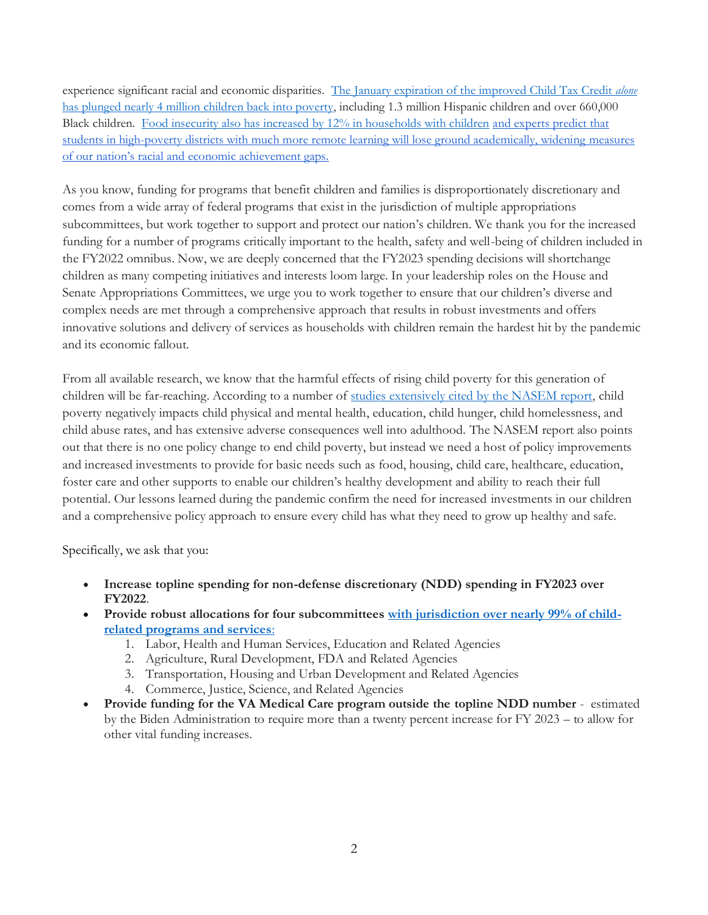experience significant racial and economic disparities. [The January expiration of the improved Child Tax Credit](https://www.povertycenter.columbia.edu/news-internal/monthly-poverty-january-2022) *alone* [has plunged nearly 4 million children back into poverty,](https://www.povertycenter.columbia.edu/news-internal/monthly-poverty-january-2022) including 1.3 million Hispanic children and over 660,000 Black children. [Food insecurity also has increased by 12% in households with children](https://childrenshealthwatch.org/food-insufficiency-in-families-with-children-increased-after-expiration-of-child-tax-credit-monthly-payments/) [and experts predict that](https://news.harvard.edu/gazette/story/2022/05/remote-learning-likely-widened-racial-economic-achievement-gap/)  [students in high-poverty districts with much more remote learning will lose ground academically, widening measures](https://news.harvard.edu/gazette/story/2022/05/remote-learning-likely-widened-racial-economic-achievement-gap/)  [of our nation's racial and economic achievement gaps.](https://news.harvard.edu/gazette/story/2022/05/remote-learning-likely-widened-racial-economic-achievement-gap/)

As you know, funding for programs that benefit children and families is disproportionately discretionary and comes from a wide array of federal programs that exist in the jurisdiction of multiple appropriations subcommittees, but work together to support and protect our nation's children. We thank you for the increased funding for a number of programs critically important to the health, safety and well-being of children included in the FY2022 omnibus. Now, we are deeply concerned that the FY2023 spending decisions will shortchange children as many competing initiatives and interests loom large. In your leadership roles on the House and Senate Appropriations Committees, we urge you to work together to ensure that our children's diverse and complex needs are met through a comprehensive approach that results in robust investments and offers innovative solutions and delivery of services as households with children remain the hardest hit by the pandemic and its economic fallout.

From all available research, we know that the harmful effects of rising child poverty for this generation of children will be far-reaching. According to a number of [studies extensively cited by the NASEM report,](https://www.nationalacademies.org/our-work/building-an-agenda-to-reduce-the-number-of-children-in-poverty-by-half-in-10-years) child poverty negatively impacts child physical and mental health, education, child hunger, child homelessness, and child abuse rates, and has extensive adverse consequences well into adulthood. The NASEM report also points out that there is no one policy change to end child poverty, but instead we need a host of policy improvements and increased investments to provide for basic needs such as food, housing, child care, healthcare, education, foster care and other supports to enable our children's healthy development and ability to reach their full potential. Our lessons learned during the pandemic confirm the need for increased investments in our children and a comprehensive policy approach to ensure every child has what they need to grow up healthy and safe.

Specifically, we ask that you:

- **Increase topline spending for non-defense discretionary (NDD) spending in FY2023 over FY2022**.
- Provide robust allocations for four subcommittees [with jurisdiction over nearly 99% of child](https://www.childrensbudget.org/projects)**[related programs and services](https://www.childrensbudget.org/projects)**:
	- 1. Labor, Health and Human Services, Education and Related Agencies
	- 2. Agriculture, Rural Development, FDA and Related Agencies
	- 3. Transportation, Housing and Urban Development and Related Agencies
	- 4. Commerce, Justice, Science, and Related Agencies
- **Provide funding for the VA Medical Care program outside the topline NDD number** estimated by the Biden Administration to require more than a twenty percent increase for FY 2023 – to allow for other vital funding increases.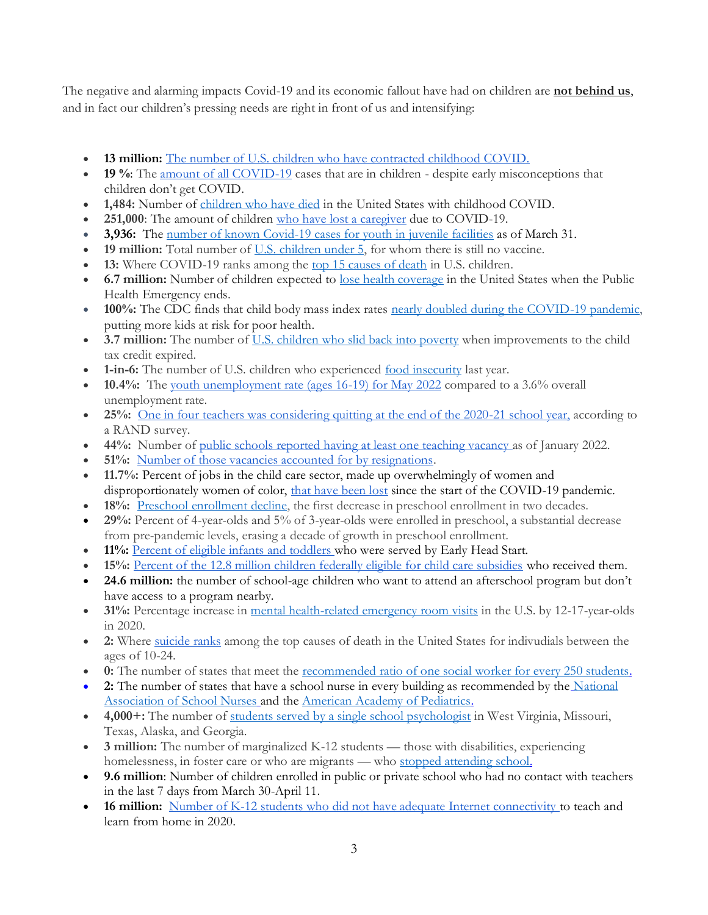The negative and alarming impacts Covid-19 and its economic fallout have had on children are **not behind us**, and in fact our children's pressing needs are right in front of us and intensifying:

- **13 million:** [The number of U.S. children who have contracted childhood COVID.](https://www.aap.org/en/pages/2019-novel-coronavirus-covid-19-infections/children-and-covid-19-state-level-data-report/)
- **19 %**: The [amount of all COVID-19](https://www.aap.org/en/pages/2019-novel-coronavirus-covid-19-infections/children-and-covid-19-state-level-data-report/) cases that are in children despite early misconceptions that children don't get COVID.
- **1,484:** Number of [children who have died](https://covid.cdc.gov/covid-data-tracker/#demographics) in the United States with childhood COVID.
- **251,000**: The amount of children [who have lost a caregiver](https://imperialcollegelondon.github.io/orphanhood_calculator/#/country/United%20States%20of%20America) due to COVID-19.
- **3,936:** The [number of known Covid-19 cases for youth in juvenile facilities](https://www.sentencingproject.org/publications/covid-19-in-juvenile-facilities/) as of March 31.
- **19 million:** Total number of [U.S. children under 5,](https://datacenter.kidscount.org/data/tables/101-child-population-by-age-group#detailed/1/any/false/574,1729,37,871,870,573,869,36,868,867/62,63,64,6,4693/419,420) for whom there is still no vaccine.
- **13:** Where COVID-19 ranks among the [top 15 causes of death](https://wonder.cdc.gov/controller/saved/D76/D273F618) in U.S. children.
- **6.7 million:** Number of children expected to [lose health coverage](https://ccf.georgetown.edu/2022/02/17/millions-of-children-may-lose-medicaid-what-can-be-done-to-help-prevent-them-from-becoming-uninsured/) in the United States when the Public Health Emergency ends.
- **100%:** The CDC finds that child body mass index rates [nearly doubled during the COVID-19 pandemic,](https://www.cdc.gov/obesity/data/children-obesity-COVID-19.html#:~:text=A%20study%20of%20432%2C302%20children,and%20younger%20school%2Daged%20children) putting more kids at risk for poor health.
- **3.7 million:** The number of <u>[U.S. children who slid back into poverty](https://www.povertycenter.columbia.edu/news-internal/monthly-poverty-january-2022)</u> when improvements to the child tax credit expired.
- **1-in-6:** The number of U.S. children who experienced [food insecurity](https://www.feedingamerica.org/sites/default/files/2021-03/National%20Projections%20Brief_3.9.2021_0.pdf) last year.
- **10.4%:** The [youth unemployment rate \(ages 16-19\) for May 2022](https://www.bls.gov/news.release/empsit.a.htm) compared to a 3.6% overall unemployment rate.
- **25%:** [One in four teachers was considering quitting at the end of the 2020-21 school year,](https://www.rand.org/news/press/2021/06/15.html) according to a RAND survey.
- **44%:** Number of [public schools reported having at least one teaching vacancy a](https://www.usnews.com/news/education-news/articles/2022-03-02/new-federal-data-shows-pandemics-effects-on-teaching-profession)s of January 2022.
- **51%:** [Number of those vacancies accounted for by resignations.](https://www.usnews.com/news/education-news/articles/2022-03-02/new-federal-data-shows-pandemics-effects-on-teaching-profession)
- **11.7%:** Percent of jobs in the child care sector, made up overwhelmingly of women and disproportionately women of color, [that have been lost](https://nwlc.org/wp-content/uploads/2022/03/FINAL-NWLC-Resilient-But-Not-Recovered-3.29.22.pdf) since the start of the COVID-19 pandemic.
- **18%:** [Preschool enrollment decline,](https://nieer.org/state-preschool-yearbooks-yearbook2021) the first decrease in preschool enrollment in two decades.
- **29%:** Percent of 4-year-olds and 5% of 3-year-olds were enrolled in preschool, a substantial decrease from pre-pandemic levels, erasing a decade of growth in preschool enrollment.
- **11%:** [Percent of eligible infants and toddlers w](https://stateofbabies.org/wp-content/uploads/2022/04/State-of-Babies-2022-Yearbook.pdf)ho were served by Early Head Start.
- 15%: [Percent of the 12.8 million children federally eligible for child care subsidies](https://aspe.hhs.gov/reports/estimates-child-care-eligibility-receipt-fy-2018) who received them.
- **24.6 million:** the number of school-age children who want to attend an afterschool program but don't have access to a program nearby.
- **31%:** Percentage increase in [mental health-related emergency room visits](https://www.cdc.gov/mmwr/volumes/70/wr/mm7024e1.htm) in the U.S. by 12-17-year-olds in 2020.
- **2:** Where [suicide ranks](https://www.nimh.nih.gov/health/statistics/suicide#part_2556) among the top causes of death in the United States for indivudials between the ages of 10-24.
- **0:** The number of states that meet the <u>[recommended ratio of one social worker for every 250 students.](https://hopefulfutures.us/)</u>
- 2: The number of states that have a school nurse in every building as recommended by the National [Association of School Nurses](https://www.nasn.org/nasn-resources/professional-practice-documents/position-statements/ps-access-to-services) and the [American Academy of Pediatrics.](https://www.nasn.org/nasn-resources/professional-practice-documents/position-statements/ps-team)
- **4,000+:** The number of [students served by a single school psychologist](https://hopefulfutures.us/) in West Virginia, Missouri, Texas, Alaska, and Georgia.
- **3 million:** The number of marginalized K-12 students those with disabilities, experiencing homelessness, in foster care or who are migrants — who [stopped attending school.](https://bellwethereducation.org/publication/missing-margins-estimating-scale-covid-19-attendance-crisis)
- **9.6 million**: Number of children enrolled in public or private school who had no contact with teachers in the last 7 days from March 30-April 11.
- 16 million: [Number of K-12 students who did not have adequate Internet connectivity t](https://www.commonsensemedia.org/sites/default/files/featured-content/files/common_sense_media_report_final_7_1_3pm_web.pdf)o teach and learn from home in 2020.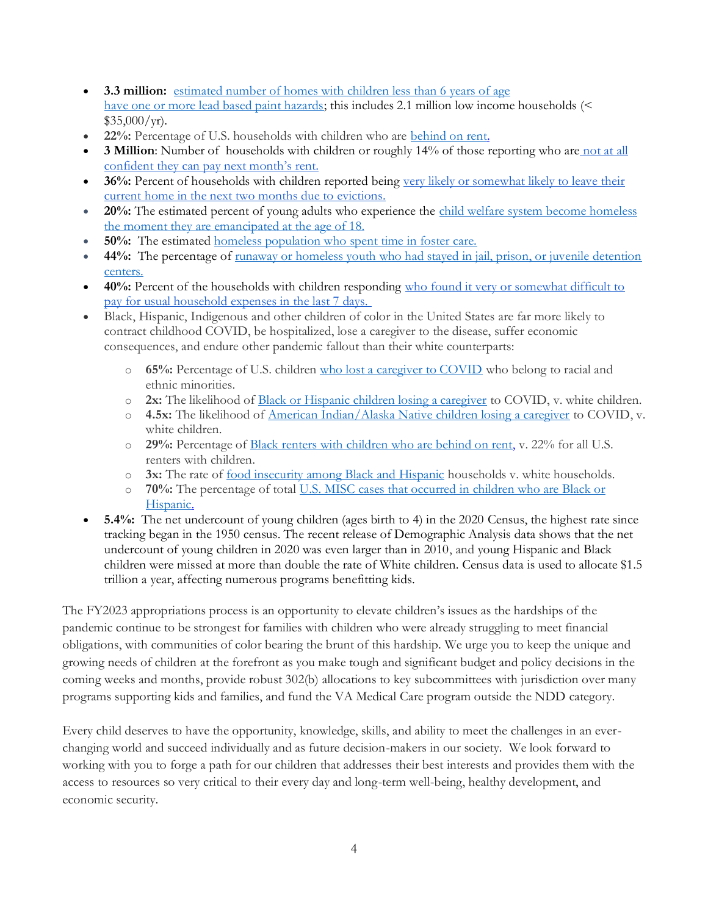- **3.3 million:** [estimated number of homes with children less than 6 years of age](https://www.hud.gov/sites/dfiles/HH/documents/AHHS%20II_Lead_Findings_Report_Final_29oct21.pdf) [have one or more lead based paint hazards;](https://www.hud.gov/sites/dfiles/HH/documents/AHHS%20II_Lead_Findings_Report_Final_29oct21.pdf) this includes 2.1 million low income households (<  $$35,000/yr$ .
- **22%:** Percentage of U.S. households with children who are [behind on rent.](https://www.census.gov/data/tables/2022/demo/hhp/hhp42.html)
- **3 Million**: Number of households with children or roughly 14% of those reporting who are not at all [confident they can pay next month's rent.](https://www.census.gov/programs-surveys/household-pulse-survey/data.html)
- **36%:** Percent of households with children reported being very likely or somewhat likely to leave their [current home in the next two months due to evictions.](https://www.census.gov/programs-surveys/household-pulse-survey/data.html)
- 20%: The estimated percent of young adults who experience the child welfare system become homeless [the moment they are emancipated at the age of 18.](https://nfyi.org/issues/homelessness/#:~:text=The%20child%20welfare%20system%20is,spent%20time%20in%20foster%20care)
- **50%:** The estimated [homeless population who spent time in foster care.](https://nfyi.org/issues/homelessness/#:~:text=The%20child%20welfare%20system%20is,spent%20time%20in%20foster%20care)
- **44%:** The percentage of [runaway or homeless youth who had stayed in jail, prison, or juvenile detention](http://www.juvjustice.org/sites/default/files/resource-files/policy%20brief_FINAL.compressed.pdf)  [centers.](http://www.juvjustice.org/sites/default/files/resource-files/policy%20brief_FINAL.compressed.pdf)
- **40%:** Percent of the households with children responding [who found it very or somewhat difficult to](https://www.census.gov/programs-surveys/household-pulse-survey/data.html)  [pay for usual household expenses in the last 7 days.](https://www.census.gov/programs-surveys/household-pulse-survey/data.html)
- Black, Hispanic, Indigenous and other children of color in the United States are far more likely to contract childhood COVID, be hospitalized, lose a caregiver to the disease, suffer economic consequences, and endure other pandemic fallout than their white counterparts:
	- o **65%:** Percentage of U.S. children [who lost a caregiver to COVID](https://www.nih.gov/news-events/news-releases/more-140000-us-children-lost-primary-or-secondary-caregiver-due-covid-19-pandemic) who belong to racial and ethnic minorities.
	- o **2x:** The likelihood of [Black or Hispanic children losing a caregiver](https://www.nih.gov/news-events/news-releases/more-140000-us-children-lost-primary-or-secondary-caregiver-due-covid-19-pandemic) to COVID, v. white children.
	- o **4.5x:** The likelihood of [American Indian/Alaska Native children losing a caregiver](https://www.nih.gov/news-events/news-releases/more-140000-us-children-lost-primary-or-secondary-caregiver-due-covid-19-pandemic) to COVID, v. white children.
	- o **29%:** Percentage of [Black renters with children who are behind on rent,](https://www.cbpp.org/blog/families-with-children-at-increased-risk-of-eviction-with-renters-of-color-facing-greatest) v. 22% for all U.S. renters with children.
	- o **3x:** The rate of [food insecurity among Black and Hispanic](https://www.americanprogress.org/article/new-poverty-food-insecurity-data-illustrate-persistent-racial-inequities/) households v. white households.
	- o **70%:** The percentage of total [U.S. MISC cases that occurred in children who are Black or](https://www.cdc.gov/coronavirus/2019-ncov/community/health-equity/racial-ethnic-disparities/disparities-hospitalization.html)  [Hispanic.](https://www.cdc.gov/coronavirus/2019-ncov/community/health-equity/racial-ethnic-disparities/disparities-hospitalization.html)
- **5.4%:** The net undercount of young children (ages birth to 4) in the 2020 Census, the highest rate since tracking began in the 1950 census. The recent release of Demographic Analysis data shows that the net undercount of young children in 2020 was even larger than in 2010, and young Hispanic and Black children were missed at more than double the rate of White children. Census data is used to allocate \$1.5 trillion a year, affecting numerous programs benefitting kids.

The FY2023 appropriations process is an opportunity to elevate children's issues as the hardships of the pandemic continue to be strongest for families with children who were already struggling to meet financial obligations, with communities of color bearing the brunt of this hardship. We urge you to keep the unique and growing needs of children at the forefront as you make tough and significant budget and policy decisions in the coming weeks and months, provide robust 302(b) allocations to key subcommittees with jurisdiction over many programs supporting kids and families, and fund the VA Medical Care program outside the NDD category.

Every child deserves to have the opportunity, knowledge, skills, and ability to meet the challenges in an everchanging world and succeed individually and as future decision-makers in our society. We look forward to working with you to forge a path for our children that addresses their best interests and provides them with the access to resources so very critical to their every day and long-term well-being, healthy development, and economic security.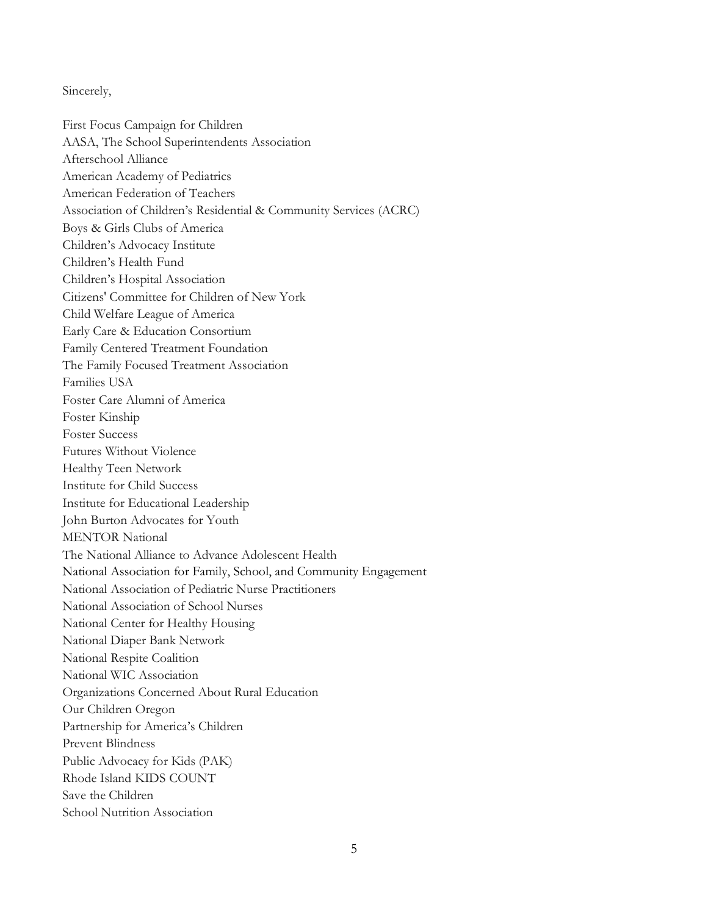Sincerely,

First Focus Campaign for Children AASA, The School Superintendents Association Afterschool Alliance American Academy of Pediatrics American Federation of Teachers Association of Children's Residential & Community Services (ACRC) Boys & Girls Clubs of America Children's Advocacy Institute Children's Health Fund Children's Hospital Association Citizens' Committee for Children of New York Child Welfare League of America Early Care & Education Consortium Family Centered Treatment Foundation The Family Focused Treatment Association Families USA Foster Care Alumni of America Foster Kinship Foster Success Futures Without Violence Healthy Teen Network Institute for Child Success Institute for Educational Leadership John Burton Advocates for Youth MENTOR National The National Alliance to Advance Adolescent Health National Association for Family, School, and Community Engagement National Association of Pediatric Nurse Practitioners National Association of School Nurses National Center for Healthy Housing National Diaper Bank Network National Respite Coalition National WIC Association Organizations Concerned About Rural Education Our Children Oregon Partnership for America's Children Prevent Blindness Public Advocacy for Kids (PAK) Rhode Island KIDS COUNT Save the Children School Nutrition Association